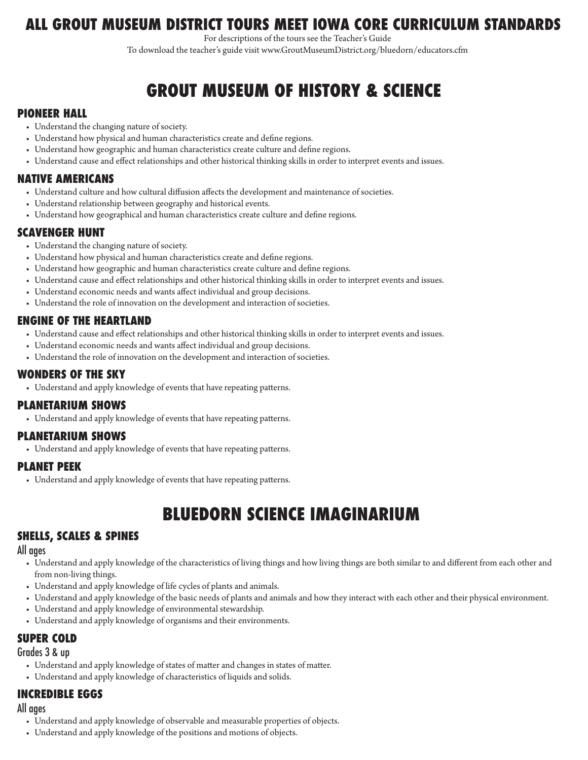## **ALL GROUT MUSEUM DISTRICT TOURS MEET IOWA CORE CURRICULUM STANDARDS**

For descriptions of the tours see the Teacher's Guide

To download the teacher's guide visit www.GroutMuseumDistrict.org/bluedorn/educators.cfm

# **GROUT MUSEUM OF HISTORY & SCIENCE**

#### **Pioneer Hall**

- • Understand the changing nature of society.
- • Understand how physical and human characteristics create and define regions.
- Understand how geographic and human characteristics create culture and define regions.
- • Understand cause and effect relationships and other historical thinking skills in order to interpret events and issues.

#### **Native Americans**

- • Understand culture and how cultural diffusion affects the development and maintenance of societies.
- • Understand relationship between geography and historical events.
- • Understand how geographical and human characteristics create culture and define regions.

#### **Scavenger Hunt**

- • Understand the changing nature of society.
- Understand how physical and human characteristics create and define regions.
- • Understand how geographic and human characteristics create culture and define regions.
- • Understand cause and effect relationships and other historical thinking skills in order to interpret events and issues.
- • Understand economic needs and wants affect individual and group decisions.
- • Understand the role of innovation on the development and interaction of societies.

#### **Engine of the Heartland**

- • Understand cause and effect relationships and other historical thinking skills in order to interpret events and issues.
- • Understand economic needs and wants affect individual and group decisions.
- • Understand the role of innovation on the development and interaction of societies.

#### **Wonders of the Sky**

• Understand and apply knowledge of events that have repeating patterns.

#### **Planetarium Shows**

• Understand and apply knowledge of events that have repeating patterns.

#### **Planetarium Shows**

• Understand and apply knowledge of events that have repeating patterns.

#### **Planet Peek**

• Understand and apply knowledge of events that have repeating patterns.

# **bluedorn science imaginarium**

#### **Shells, Scales & Spines**

#### All ages

- • Understand and apply knowledge of the characteristics of living things and how living things are both similar to and different from each other and from non-living things.
- • Understand and apply knowledge of life cycles of plants and animals.
- • Understand and apply knowledge of the basic needs of plants and animals and how they interact with each other and their physical environment.
- • Understand and apply knowledge of environmental stewardship.
- • Understand and apply knowledge of organisms and their environments.

## **Super Cold**

#### Grades 3 & up

- • Understand and apply knowledge of states of matter and changes in states of matter.
- • Understand and apply knowledge of characteristics of liquids and solids.

#### **Incredible Eggs**

#### All ages

- • Understand and apply knowledge of observable and measurable properties of objects.
- • Understand and apply knowledge of the positions and motions of objects.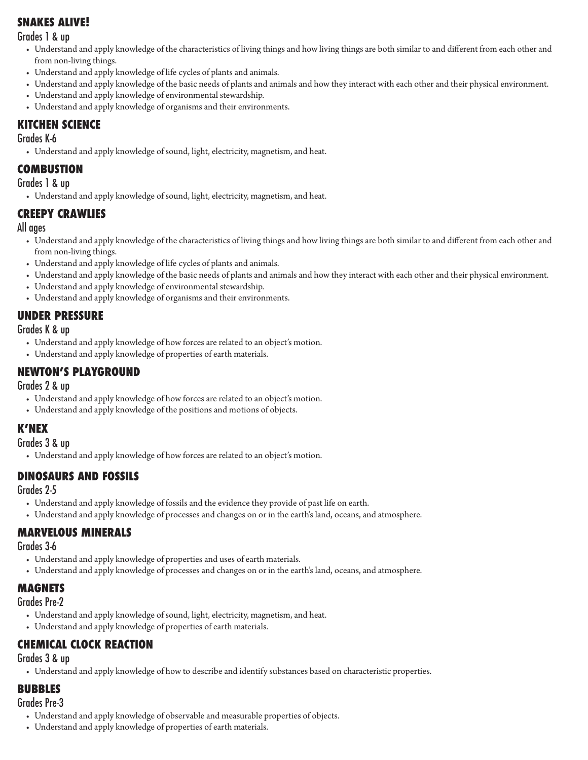## **Snakes Alive!**

Grades 1 & up

- • Understand and apply knowledge of the characteristics of living things and how living things are both similar to and different from each other and from non-living things.
- • Understand and apply knowledge of life cycles of plants and animals.
- • Understand and apply knowledge of the basic needs of plants and animals and how they interact with each other and their physical environment.
- • Understand and apply knowledge of environmental stewardship.
- • Understand and apply knowledge of organisms and their environments.

## **Kitchen Science**

#### Grades K-6

• Understand and apply knowledge of sound, light, electricity, magnetism, and heat.

## **Combustion**

Grades 1 & up

• Understand and apply knowledge of sound, light, electricity, magnetism, and heat.

## **Creepy Crawlies**

#### All ages

- • Understand and apply knowledge of the characteristics of living things and how living things are both similar to and different from each other and from non-living things.
- • Understand and apply knowledge of life cycles of plants and animals.
- • Understand and apply knowledge of the basic needs of plants and animals and how they interact with each other and their physical environment.
- • Understand and apply knowledge of environmental stewardship.
- • Understand and apply knowledge of organisms and their environments.

## **Under Pressure**

Grades K & up

- • Understand and apply knowledge of how forces are related to an object's motion.
- • Understand and apply knowledge of properties of earth materials.

## **Newton's Playground**

Grades 2 & up

- • Understand and apply knowledge of how forces are related to an object's motion.
- • Understand and apply knowledge of the positions and motions of objects.

## **K'NEX**

Grades 3 & up

• Understand and apply knowledge of how forces are related to an object's motion.

## **Dinosaurs and Fossils**

Grades 2-5

- • Understand and apply knowledge of fossils and the evidence they provide of past life on earth.
- • Understand and apply knowledge of processes and changes on or in the earth's land, oceans, and atmosphere.

## **Marvelous Minerals**

Grades 3-6

- • Understand and apply knowledge of properties and uses of earth materials.
- • Understand and apply knowledge of processes and changes on or in the earth's land, oceans, and atmosphere.

## **Magnets**

Grades Pre-2

- Understand and apply knowledge of sound, light, electricity, magnetism, and heat.
- • Understand and apply knowledge of properties of earth materials.

## **Chemical Clock Reaction**

Grades 3 & up

• Understand and apply knowledge of how to describe and identify substances based on characteristic properties.

## **Bubbles**

#### Grades Pre-3

- • Understand and apply knowledge of observable and measurable properties of objects.
- • Understand and apply knowledge of properties of earth materials.